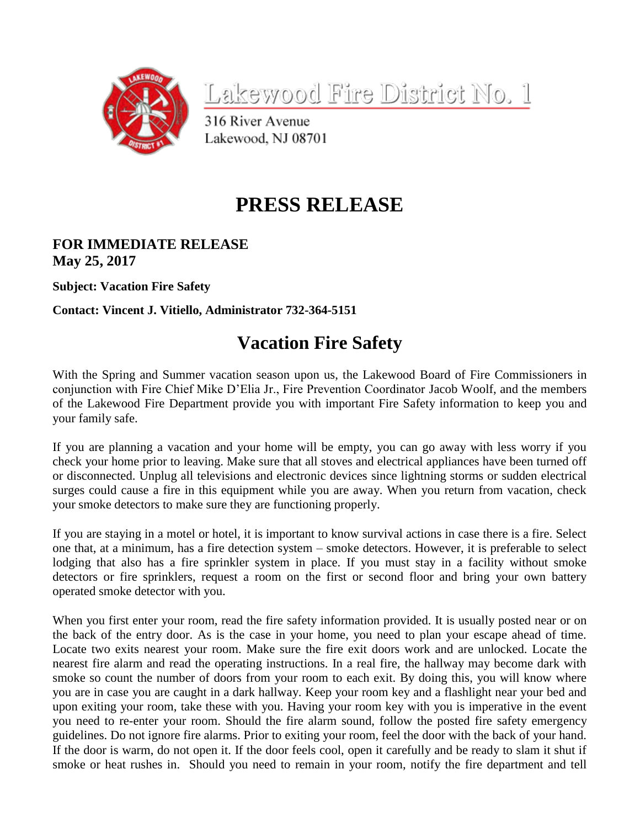

Lakewood Fire District No. 1

316 River Avenue Lakewood, NJ 08701

## **PRESS RELEASE**

## **FOR IMMEDIATE RELEASE May 25, 2017**

**Subject: Vacation Fire Safety**

**Contact: Vincent J. Vitiello, Administrator 732-364-5151**

## **Vacation Fire Safety**

With the Spring and Summer vacation season upon us, the Lakewood Board of Fire Commissioners in conjunction with Fire Chief Mike D'Elia Jr., Fire Prevention Coordinator Jacob Woolf, and the members of the Lakewood Fire Department provide you with important Fire Safety information to keep you and your family safe.

If you are planning a vacation and your home will be empty, you can go away with less worry if you check your home prior to leaving. Make sure that all stoves and electrical appliances have been turned off or disconnected. Unplug all televisions and electronic devices since lightning storms or sudden electrical surges could cause a fire in this equipment while you are away. When you return from vacation, check your smoke detectors to make sure they are functioning properly.

If you are staying in a motel or hotel, it is important to know survival actions in case there is a fire. Select one that, at a minimum, has a fire detection system – smoke detectors. However, it is preferable to select lodging that also has a fire sprinkler system in place. If you must stay in a facility without smoke detectors or fire sprinklers, request a room on the first or second floor and bring your own battery operated smoke detector with you.

When you first enter your room, read the fire safety information provided. It is usually posted near or on the back of the entry door. As is the case in your home, you need to plan your escape ahead of time. Locate two exits nearest your room. Make sure the fire exit doors work and are unlocked. Locate the nearest fire alarm and read the operating instructions. In a real fire, the hallway may become dark with smoke so count the number of doors from your room to each exit. By doing this, you will know where you are in case you are caught in a dark hallway. Keep your room key and a flashlight near your bed and upon exiting your room, take these with you. Having your room key with you is imperative in the event you need to re-enter your room. Should the fire alarm sound, follow the posted fire safety emergency guidelines. Do not ignore fire alarms. Prior to exiting your room, feel the door with the back of your hand. If the door is warm, do not open it. If the door feels cool, open it carefully and be ready to slam it shut if smoke or heat rushes in. Should you need to remain in your room, notify the fire department and tell